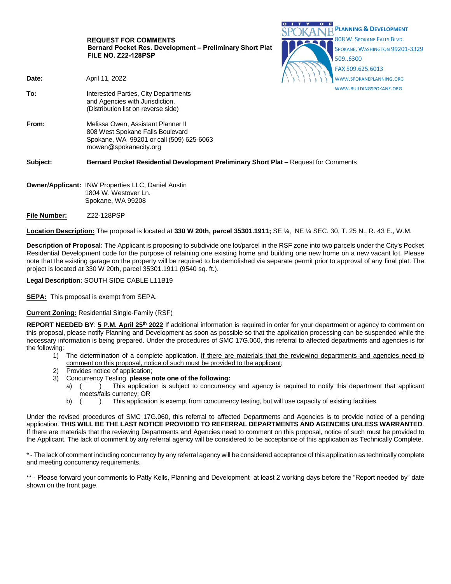|                     | <b>REQUEST FOR COMMENTS</b><br>Bernard Pocket Res. Development - Preliminary Short Plat<br><b>FILE NO. Z22-128PSP</b>                       | <b>PLANNING &amp; DEVELOPMENT</b><br>808 W. SPOKANE FALLS BLVD.<br>SPOKANE, WASHINGTON 99201-3329<br>5096300<br>FAX 509.625.6013 |
|---------------------|---------------------------------------------------------------------------------------------------------------------------------------------|----------------------------------------------------------------------------------------------------------------------------------|
| Date:               | April 11, 2022                                                                                                                              | WWW.SPOKANEPLANNING.ORG                                                                                                          |
| To:                 | Interested Parties, City Departments<br>and Agencies with Jurisdiction.<br>(Distribution list on reverse side)                              | WWW.BUILDINGSPOKANE.ORG                                                                                                          |
| From:               | Melissa Owen, Assistant Planner II<br>808 West Spokane Falls Boulevard<br>Spokane, WA 99201 or call (509) 625-6063<br>mowen@spokanecity.org |                                                                                                                                  |
| Subject:            | Bernard Pocket Residential Development Preliminary Short Plat - Request for Comments                                                        |                                                                                                                                  |
|                     | <b>Owner/Applicant: INW Properties LLC, Daniel Austin</b><br>1804 W. Westover Ln.<br>Spokane, WA 99208                                      |                                                                                                                                  |
| <b>File Number:</b> | Z22-128PSP                                                                                                                                  |                                                                                                                                  |

 $C = 1$ 

 $\sim$   $\sim$ 

**Location Description:** The proposal is located at **330 W 20th, parcel 35301.1911;** SE ¼, NE ¼ SEC. 30, T. 25 N., R. 43 E., W.M.

**Description of Proposal:** The Applicant is proposing to subdivide one lot/parcel in the RSF zone into two parcels under the City's Pocket Residential Development code for the purpose of retaining one existing home and building one new home on a new vacant lot. Please note that the existing garage on the property will be required to be demolished via separate permit prior to approval of any final plat. The project is located at 330 W 20th, parcel 35301.1911 (9540 sq. ft.).

**Legal Description:** SOUTH SIDE CABLE L11B19

**SEPA:** This proposal is exempt from SEPA.

# **Current Zoning:** Residential Single-Family (RSF)

**REPORT NEEDED BY**: **5 P.M. April 25 th 2022** If additional information is required in order for your department or agency to comment on this proposal, please notify Planning and Development as soon as possible so that the application processing can be suspended while the necessary information is being prepared. Under the procedures of SMC 17G.060, this referral to affected departments and agencies is for the following:

- 1) The determination of a complete application. If there are materials that the reviewing departments and agencies need to comment on this proposal, notice of such must be provided to the applicant;
- 2) Provides notice of application;
- 3) Concurrency Testing, **please note one of the following:**
	- a) () This application is subject to concurrency and agency is required to notify this department that applicant meets/fails currency; OR
	- b) ( ) This application is exempt from concurrency testing, but will use capacity of existing facilities.

Under the revised procedures of SMC 17G.060, this referral to affected Departments and Agencies is to provide notice of a pending application. **THIS WILL BE THE LAST NOTICE PROVIDED TO REFERRAL DEPARTMENTS AND AGENCIES UNLESS WARRANTED**. If there are materials that the reviewing Departments and Agencies need to comment on this proposal, notice of such must be provided to the Applicant. The lack of comment by any referral agency will be considered to be acceptance of this application as Technically Complete.

\* - The lack of comment including concurrency by any referral agency will be considered acceptance of this application as technically complete and meeting concurrency requirements.

\*\* - Please forward your comments to Patty Kells, Planning and Development at least 2 working days before the "Report needed by" date shown on the front page.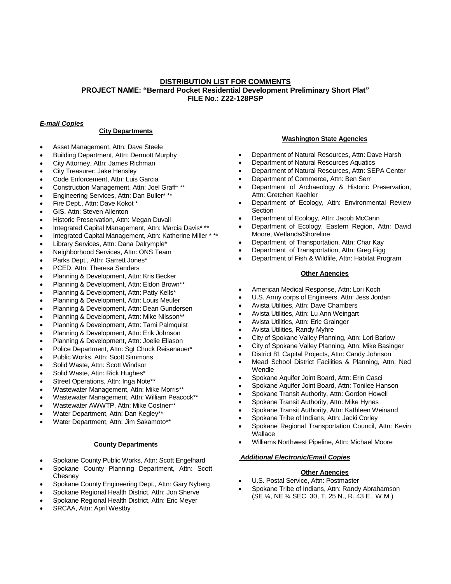## **DISTRIBUTION LIST FOR COMMENTS PROJECT NAME: "Bernard Pocket Residential Development Preliminary Short Plat" FILE No.: Z22-128PSP**

# *E-mail Copies*

### **City Departments**

- Asset Management, Attn: Dave Steele
- Building Department, Attn: Dermott Murphy
- City Attorney, Attn: James Richman
- City Treasurer: Jake Hensley
- Code Enforcement, Attn: Luis Garcia
- Construction Management, Attn: Joel Graff\* \*\*
- Engineering Services, Attn: Dan Buller\* \*\*
- Fire Dept., Attn: Dave Kokot \*
- GIS, Attn: Steven Allenton
- Historic Preservation, Attn: Megan Duvall
- Integrated Capital Management, Attn: Marcia Davis\* \*\*
- Integrated Capital Management, Attn: Katherine Miller \* \*\*
- Library Services, Attn: Dana Dalrymple\*
- Neighborhood Services, Attn: ONS Team
- Parks Dept., Attn: Garrett Jones\*
- PCED, Attn: Theresa Sanders
- Planning & Development, Attn: Kris Becker
- Planning & Development, Attn: Eldon Brown\*\*
- Planning & Development, Attn: Patty Kells\*
- Planning & Development, Attn: Louis Meuler
- Planning & Development, Attn: Dean Gundersen
- Planning & Development, Attn: Mike Nilsson\*\*
- Planning & Development, Attn: Tami Palmquist
- Planning & Development, Attn: Erik Johnson
- Planning & Development, Attn: Joelie Eliason
- Police Department, Attn: Sgt Chuck Reisenauer\*
- Public Works, Attn: Scott Simmons
- Solid Waste, Attn: Scott Windsor
- Solid Waste, Attn: Rick Hughes\*
- Street Operations, Attn: Inga Note\*\*
- Wastewater Management, Attn: Mike Morris\*\*
- Wastewater Management, Attn: William Peacock\*\*
- Wastewater AWWTP, Attn: Mike Costner\*\*
- Water Department, Attn: Dan Kegley\*\*
- Water Department, Attn: Jim Sakamoto\*\*

#### **County Departments**

- Spokane County Public Works, Attn: Scott Engelhard
- Spokane County Planning Department, Attn: Scott **Chesney**
- Spokane County Engineering Dept., Attn: Gary Nyberg
- Spokane Regional Health District, Attn: Jon Sherve
- Spokane Regional Health District, Attn: Eric Meyer
- SRCAA, Attn: April Westby

### **Washington State Agencies**

- Department of Natural Resources, Attn: Dave Harsh
- Department of Natural Resources Aquatics
- Department of Natural Resources, Attn: SEPA Center
- Department of Commerce, Attn: Ben Serr
- Department of Archaeology & Historic Preservation, Attn: Gretchen Kaehler
- Department of Ecology, Attn: Environmental Review **Section**
- Department of Ecology, Attn: Jacob McCann
- Department of Ecology, Eastern Region, Attn: David Moore, Wetlands/Shoreline
- Department of Transportation, Attn: Char Kay
- Department of Transportation, Attn: Greg Figg
- Department of Fish & Wildlife, Attn: Habitat Program

### **Other Agencies**

- American Medical Response, Attn: Lori Koch
- U.S. Army corps of Engineers, Attn: Jess Jordan
- Avista Utilities, Attn: Dave Chambers
- Avista Utilities, Attn: Lu Ann Weingart
- Avista Utilities, Attn: Eric Grainger
- Avista Utilities, Randy Myhre
- City of Spokane Valley Planning, Attn: Lori Barlow
- City of Spokane Valley Planning, Attn: Mike Basinger
- District 81 Capital Projects, Attn: Candy Johnson
- Mead School District Facilities & Planning, Attn: Ned Wendle
- Spokane Aquifer Joint Board, Attn: Erin Casci
- Spokane Aquifer Joint Board, Attn: Tonilee Hanson
- Spokane Transit Authority, Attn: Gordon Howell
- Spokane Transit Authority, Attn: Mike Hynes
- Spokane Transit Authority, Attn: Kathleen Weinand
- Spokane Tribe of Indians, Attn: Jacki Corley
- Spokane Regional Transportation Council, Attn: Kevin **Wallace**
- Williams Northwest Pipeline, Attn: Michael Moore

#### *Additional Electronic/Email Copies*

#### **Other Agencies**

- U.S. Postal Service, Attn: Postmaster
- Spokane Tribe of Indians, Attn: Randy Abrahamson (SE ¼, NE ¼ SEC. 30, T. 25 N., R. 43 E., W.M.)